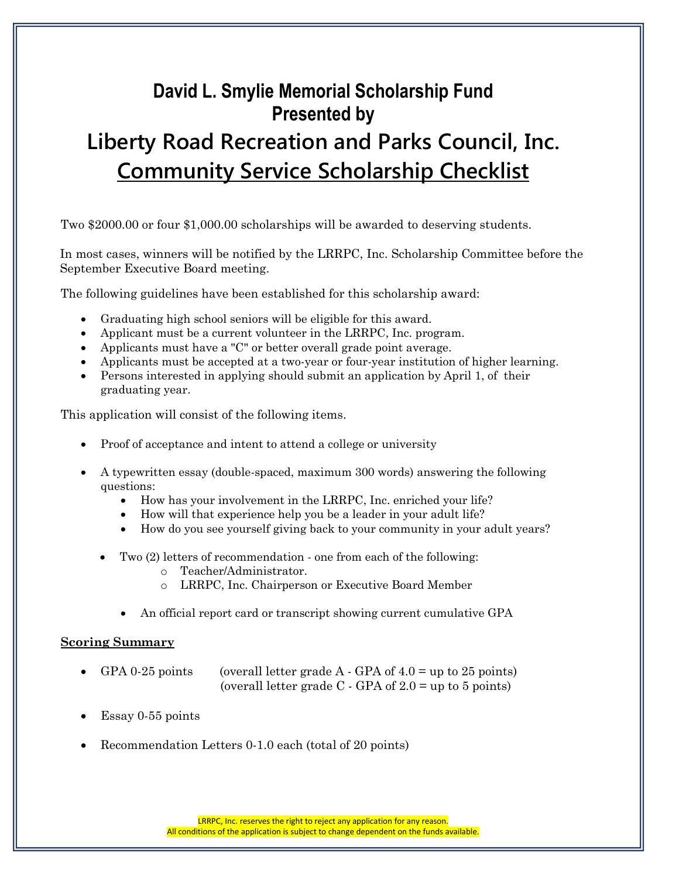# **David L. Smylie Memorial Scholarship Fund Presented by Liberty Road Recreation and Parks Council, Inc. Community Service Scholarship Checklist**

Two \$2000.00 or four \$1,000.00 scholarships will be awarded to deserving students.

In most cases, winners will be notified by the LRRPC, Inc. Scholarship Committee before the September Executive Board meeting.

The following guidelines have been established for this scholarship award:

- Graduating high school seniors will be eligible for this award.
- Applicant must be a current volunteer in the LRRPC, Inc. program.
- Applicants must have a "C" or better overall grade point average.
- Applicants must be accepted at a two-year or four-year institution of higher learning.
- Persons interested in applying should submit an application by April 1, of their graduating year.

This application will consist of the following items.

- Proof of acceptance and intent to attend a college or university
- A typewritten essay (double-spaced, maximum 300 words) answering the following questions:
	- How has your involvement in the LRRPC, Inc. enriched your life?
	- How will that experience help you be a leader in your adult life?
	- How do you see yourself giving back to your community in your adult years?
	- Two (2) letters of recommendation one from each of the following:
		- o Teacher/Administrator.
		- o LRRPC, Inc. Chairperson or Executive Board Member
		- An official report card or transcript showing current cumulative GPA

#### **Scoring Summary**

- GPA 0-25 points (overall letter grade  $A \cdot GPA$  of 4.0 = up to 25 points) (overall letter grade  $C$  - GPA of  $2.0 =$  up to 5 points)
- Essay 0-55 points
- Recommendation Letters 0-1.0 each (total of 20 points)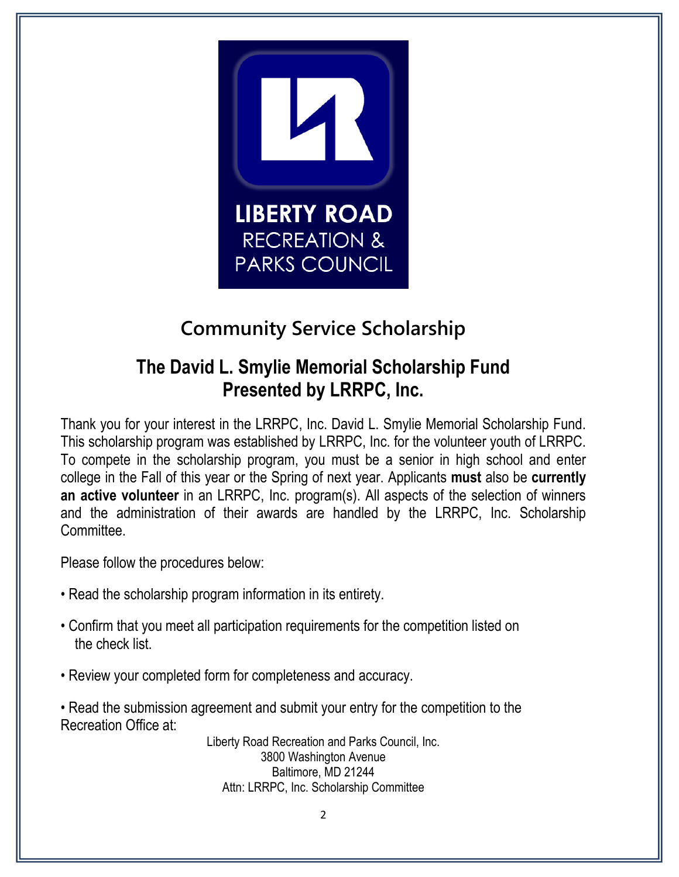

# **Community Service Scholarship**

## **The David L. Smylie Memorial Scholarship Fund Presented by LRRPC, Inc.**

Thank you for your interest in the LRRPC, Inc. David L. Smylie Memorial Scholarship Fund. This scholarship program was established by LRRPC, Inc. for the volunteer youth of LRRPC. To compete in the scholarship program, you must be a senior in high school and enter college in the Fall of this year or the Spring of next year. Applicants **must** also be **currently an active volunteer** in an LRRPC, Inc. program(s). All aspects of the selection of winners and the administration of their awards are handled by the LRRPC, Inc. Scholarship Committee.

Please follow the procedures below:

- Read the scholarship program information in its entirety.
- Confirm that you meet all participation requirements for the competition listed on the check list.
- Review your completed form for completeness and accuracy.
- Read the submission agreement and submit your entry for the competition to the Recreation Office at:

Liberty Road Recreation and Parks Council, Inc. 3800 Washington Avenue Baltimore, MD 21244 Attn: LRRPC, Inc. Scholarship Committee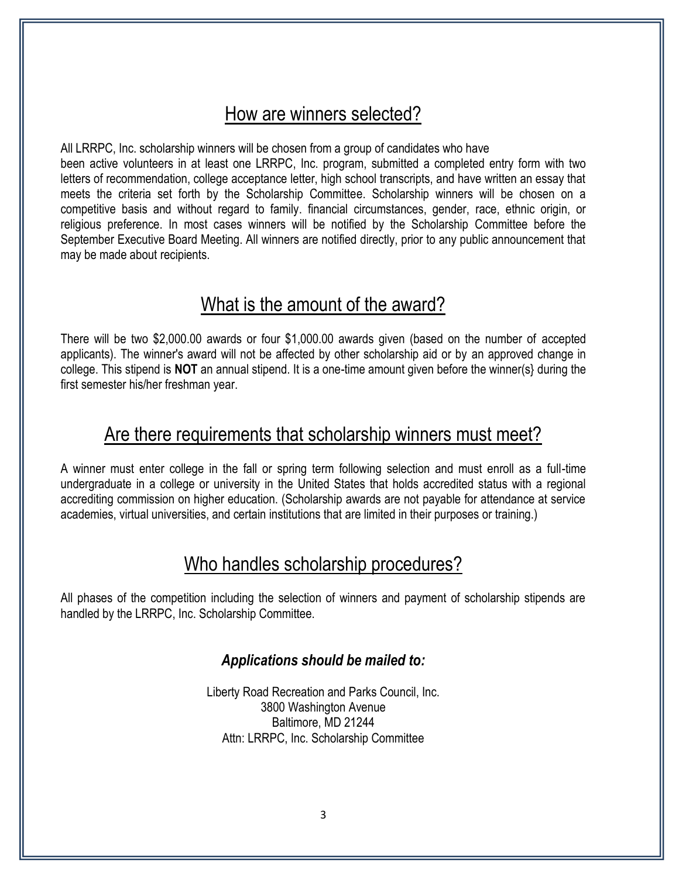## How are winners selected?

All LRRPC, Inc. scholarship winners will be chosen from a group of candidates who have been active volunteers in at least one LRRPC, Inc. program, submitted a completed entry form with two letters of recommendation, college acceptance letter, high school transcripts, and have written an essay that meets the criteria set forth by the Scholarship Committee. Scholarship winners will be chosen on a competitive basis and without regard to family. financial circumstances, gender, race, ethnic origin, or religious preference. In most cases winners will be notified by the Scholarship Committee before the September Executive Board Meeting. All winners are notified directly, prior to any public announcement that may be made about recipients.

## What is the amount of the award?

There will be two \$2,000.00 awards or four \$1,000.00 awards given (based on the number of accepted applicants). The winner's award will not be affected by other scholarship aid or by an approved change in college. This stipend is **NOT** an annual stipend. It is a one-time amount given before the winner(s} during the first semester his/her freshman year.

#### Are there requirements that scholarship winners must meet?

A winner must enter college in the fall or spring term following selection and must enroll as a full-time undergraduate in a college or university in the United States that holds accredited status with a regional accrediting commission on higher education. (Scholarship awards are not payable for attendance at service academies, virtual universities, and certain institutions that are limited in their purposes or training.)

### Who handles scholarship procedures?

All phases of the competition including the selection of winners and payment of scholarship stipends are handled by the LRRPC, Inc. Scholarship Committee.

#### *Applications should be mailed to:*

Liberty Road Recreation and Parks Council, Inc. 3800 Washington Avenue Baltimore, MD 21244 Attn: LRRPC, Inc. Scholarship Committee